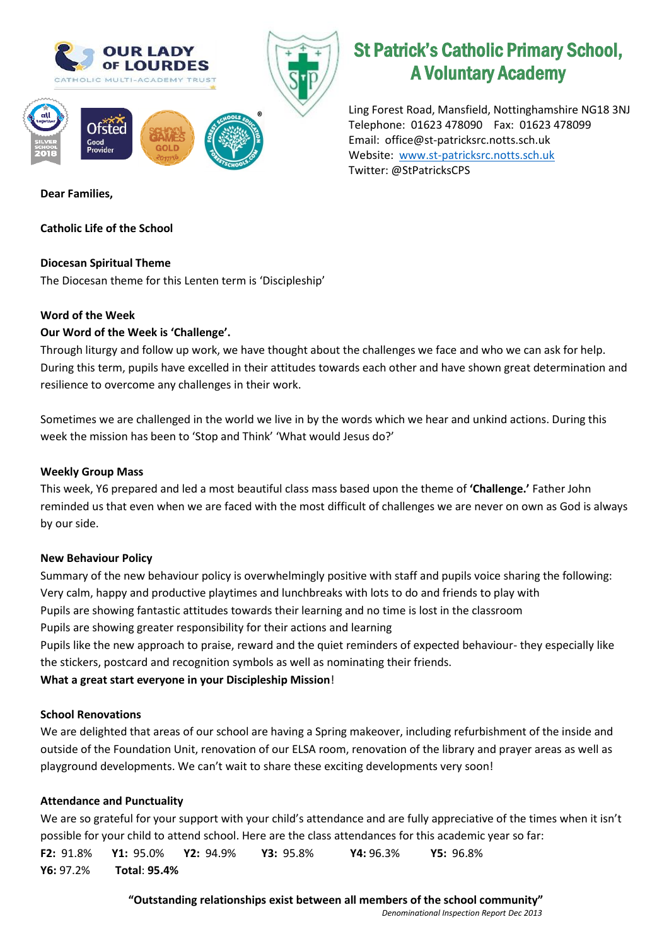

# St Patrick's Catholic Primary School, A Voluntary Academy

Ling Forest Road, Mansfield, Nottinghamshire NG18 3NJ Telephone: 01623 478090 Fax: 01623 478099 Email: office@st-patricksrc.notts.sch.uk Website: [www.st-patricksrc.notts.sch.uk](http://www.st-patricksrc.notts.sch.uk/) Twitter: @StPatricksCPS

**Dear Families,** 

# **Catholic Life of the School**

# **Diocesan Spiritual Theme**

The Diocesan theme for this Lenten term is 'Discipleship'

# **Word of the Week**

# **Our Word of the Week is 'Challenge'.**

Through liturgy and follow up work, we have thought about the challenges we face and who we can ask for help. During this term, pupils have excelled in their attitudes towards each other and have shown great determination and resilience to overcome any challenges in their work.

Sometimes we are challenged in the world we live in by the words which we hear and unkind actions. During this week the mission has been to 'Stop and Think' 'What would Jesus do?'

#### **Weekly Group Mass**

This week, Y6 prepared and led a most beautiful class mass based upon the theme of **'Challenge.'** Father John reminded us that even when we are faced with the most difficult of challenges we are never on own as God is always by our side.

#### **New Behaviour Policy**

Summary of the new behaviour policy is overwhelmingly positive with staff and pupils voice sharing the following: Very calm, happy and productive playtimes and lunchbreaks with lots to do and friends to play with Pupils are showing fantastic attitudes towards their learning and no time is lost in the classroom Pupils are showing greater responsibility for their actions and learning Pupils like the new approach to praise, reward and the quiet reminders of expected behaviour- they especially like the stickers, postcard and recognition symbols as well as nominating their friends.

**What a great start everyone in your Discipleship Mission**!

#### **School Renovations**

We are delighted that areas of our school are having a Spring makeover, including refurbishment of the inside and outside of the Foundation Unit, renovation of our ELSA room, renovation of the library and prayer areas as well as playground developments. We can't wait to share these exciting developments very soon!

# **Attendance and Punctuality**

We are so grateful for your support with your child's attendance and are fully appreciative of the times when it isn't possible for your child to attend school. Here are the class attendances for this academic year so far: **F2:** 91.8% **Y1:** 95.0% **Y2:** 94.9% **Y3:** 95.8% **Y4:** 96.3% **Y5:** 96.8% **Y6:** 97.2% **Total**: **95.4%**

> **"Outstanding relationships exist between all members of the school community"** *Denominational Inspection Report Dec 2013*